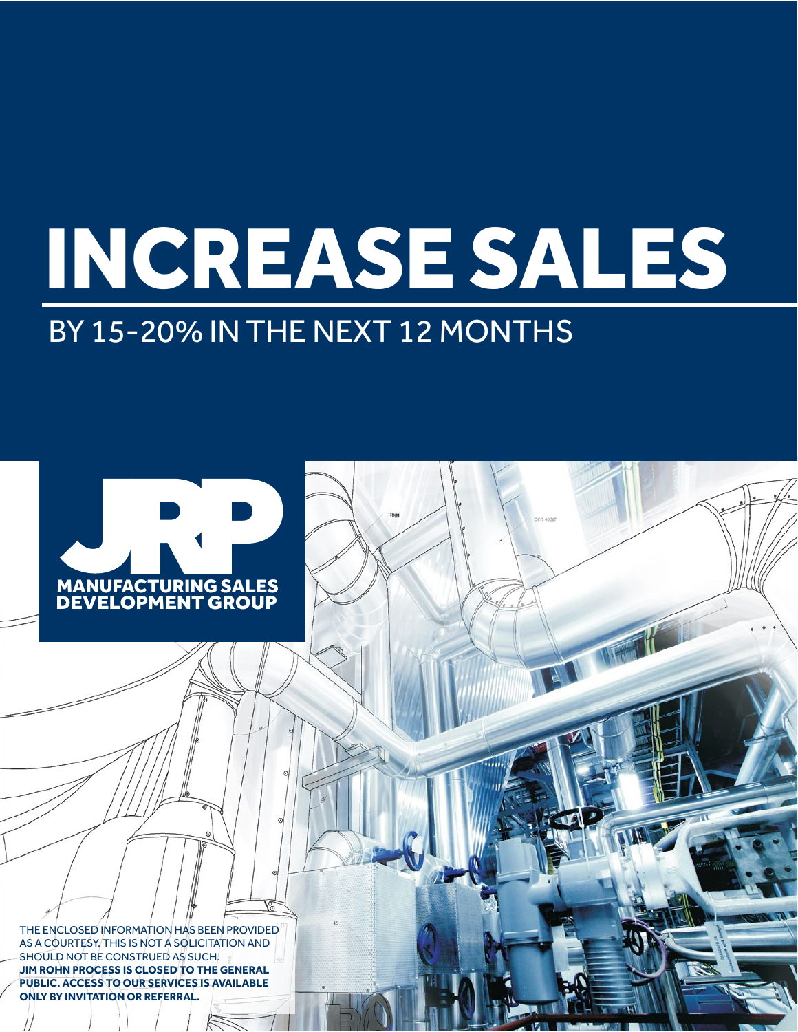# INCREASE SALES

NO NE

### BY 15-20% IN THE NEXT 12 MONTHS



THE ENCLOSED INFORMATION HAS BEEN PROVIDED AS A COURTESY. THIS IS NOT A SOLICITATION AND SHOULD NOT BE CONSTRUED AS SUCH. **JIM ROHN PROCESS IS CLOSED TO THE GENERAL PUBLIC. ACCESS TO OUR SERVICES IS AVAILABLE ONLY BY INVITATION OR REFERRAL.**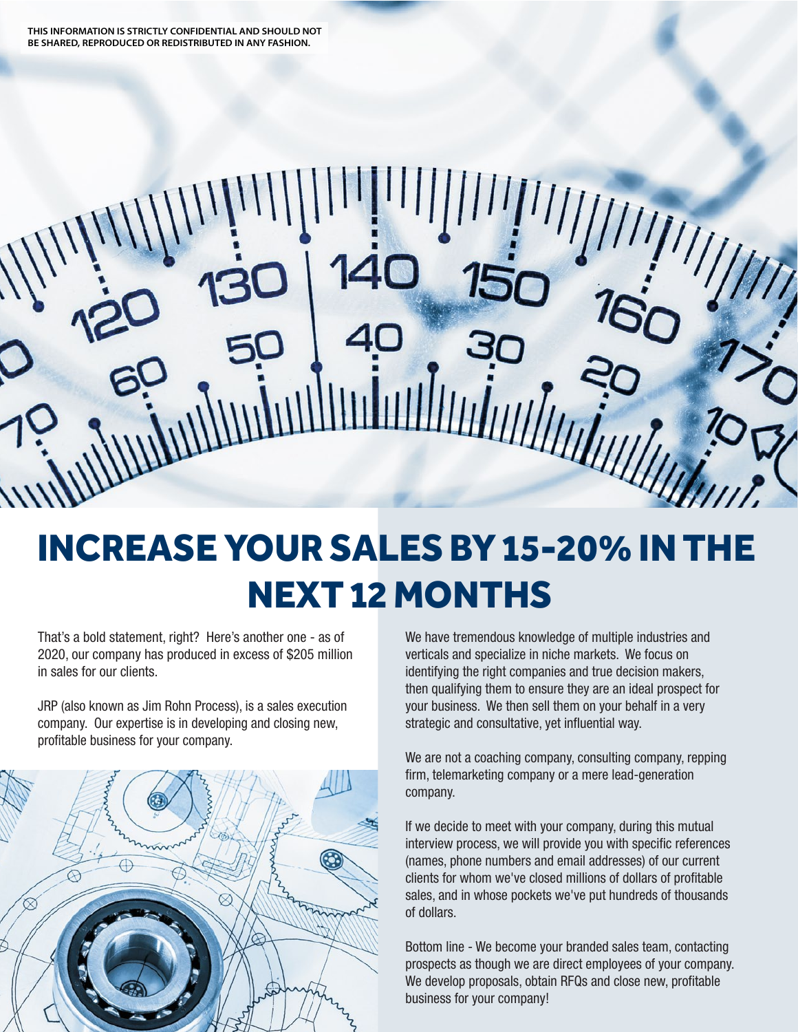## INCREASE YOUR SALES BY 15-20% IN THE NEXT 12 MONTHS

That's a bold statement, right? Here's another one - as of 2020, our company has produced in excess of \$205 million in sales for our clients.

JRP (also known as Jim Rohn Process), is a sales execution company. Our expertise is in developing and closing new, profitable business for your company.



We have tremendous knowledge of multiple industries and verticals and specialize in niche markets. We focus on identifying the right companies and true decision makers, then qualifying them to ensure they are an ideal prospect for your business. We then sell them on your behalf in a very strategic and consultative, yet influential way.

We are not a coaching company, consulting company, repping firm, telemarketing company or a mere lead-generation company.

If we decide to meet with your company, during this mutual interview process, we will provide you with specific references (names, phone numbers and email addresses) of our current clients for whom we've closed millions of dollars of profitable sales, and in whose pockets we've put hundreds of thousands of dollars.

Bottom line - We become your branded sales team, contacting prospects as though we are direct employees of your company. We develop proposals, obtain RFQs and close new, profitable business for your company!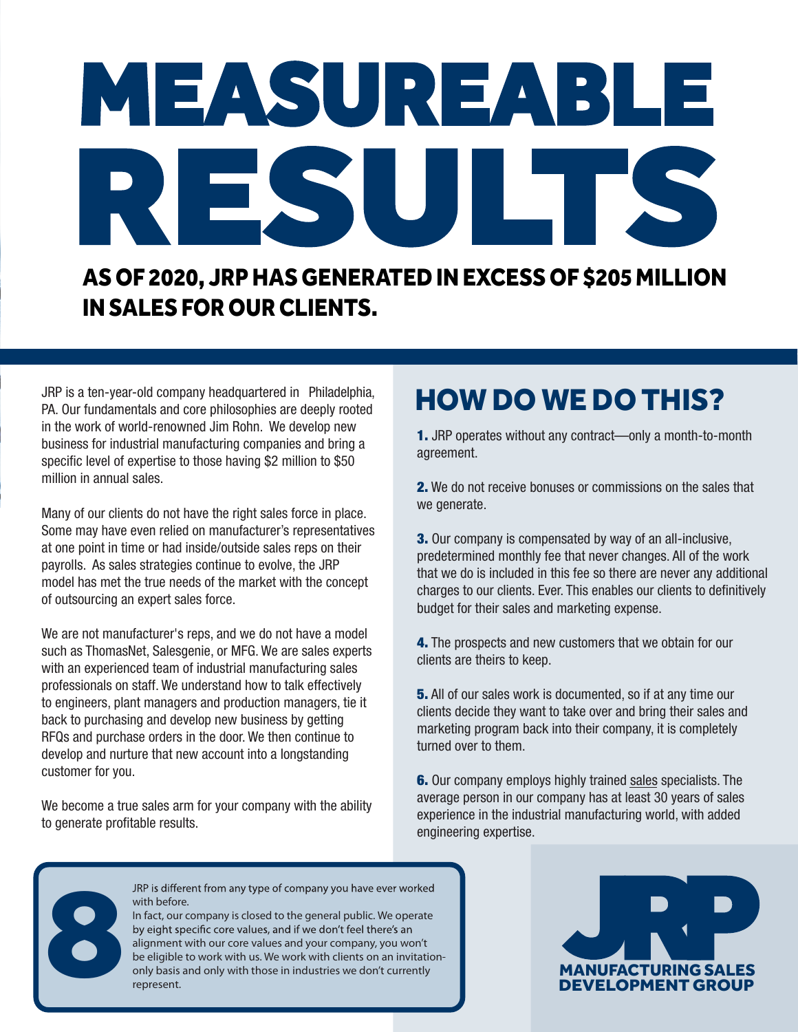# RESULTS MEASUREABLE

#### AS OF 2020, JRP HAS GENERATED IN EXCESS OF \$205 MILLION IN SALES FOR OUR CLIENTS.

JRP is a ten-year-old company headquartered in Philadelphia, PA. Our fundamentals and core philosophies are deeply rooted in the work of world-renowned Jim Rohn. We develop new business for industrial manufacturing companies and bring a specific level of expertise to those having \$2 million to \$50 million in annual sales.

Many of our clients do not have the right sales force in place. Some may have even relied on manufacturer's representatives at one point in time or had inside/outside sales reps on their payrolls. As sales strategies continue to evolve, the JRP model has met the true needs of the market with the concept of outsourcing an expert sales force.

We are not manufacturer's reps, and we do not have a model such as ThomasNet, Salesgenie, or MFG. We are sales experts with an experienced team of industrial manufacturing sales professionals on staff. We understand how to talk effectively to engineers, plant managers and production managers, tie it back to purchasing and develop new business by getting RFQs and purchase orders in the door. We then continue to develop and nurture that new account into a longstanding customer for you.

We become a true sales arm for your company with the ability to generate profitable results.

### HOW DO WE DO THIS?

1. JRP operates without any contract—only a month-to-month agreement.

2. We do not receive bonuses or commissions on the sales that we generate.

**3.** Our company is compensated by way of an all-inclusive. predetermined monthly fee that never changes. All of the work that we do is included in this fee so there are never any additional charges to our clients. Ever. This enables our clients to definitively budget for their sales and marketing expense.

4. The prospects and new customers that we obtain for our clients are theirs to keep.

**5.** All of our sales work is documented, so if at any time our clients decide they want to take over and bring their sales and marketing program back into their company, it is completely turned over to them.

6. Our company employs highly trained sales specialists. The average person in our company has at least 30 years of sales experience in the industrial manufacturing world, with added engineering expertise.



with before.

In fact, our company is closed to the general public. We operate alignment with our core values and your company, you won't be eligible to work with us. We work with clients on an invitationonly basis and only with those in industries we don't currently represent.